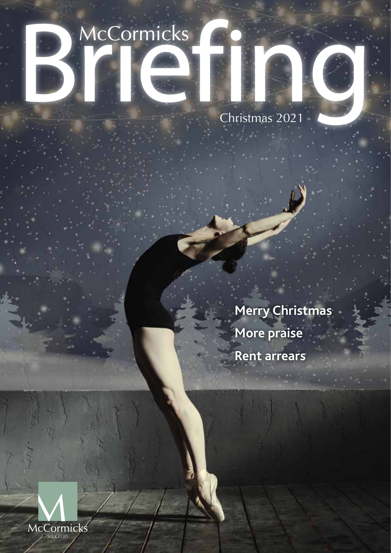### McCormicks

Christmas 2021

**Merry Christmas More praise Rent arrears**

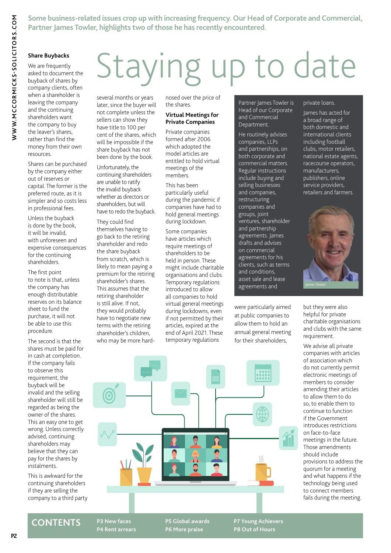**Some business-related issues crop up with increasing frequency. Our Head of Corporate and Commercial, Partner James Towler, highlights two of those he has recently encountered.**

### **Share Buybacks**

We are frequently asked to document the buyback of shares by company clients, often when a shareholder is leaving the company and the continuing shareholders want the company to buy the leaver's shares, rather than find the money from their own resources.

Shares can be purchased by the company either out of reserves or capital. The former is the preferred route, as it is simpler and so costs less in professional fees.

Unless the buyback is done by the book, it will be invalid, with unforeseen and expensive consequences for the continuing shareholders.

The first point to note is that, unless the company has enough distributable reserves on its balance sheet to fund the purchase, it will not be able to use this procedure.

The second is that the shares must be paid for in cash at completion. If the company fails to observe this requirement, the buyback will be invalid and the selling shareholder will still be regarded as being the owner of the shares. This an easy one to get wrong. Unless correctly advised, continuing shareholders may believe that they can pay for the shares by instalments.

This is awkward for the continuing shareholders if they are selling the company to a third party

## Staying up to date

several months or years later, since the buyer will not complete unless the sellers can show they have title to 100 per cent of the shares, which will be impossible if the share buyback has not been done by the book.

Unfortunately, the continuing shareholders are unable to ratify the invalid buyback whether as directors or shareholders, but will have to redo the buyback.

They could find themselves having to go back to the retiring shareholder and redo the share buyback from scratch, which is likely to mean paying a premium for the retiring shareholder's shares. This assumes that the retiring shareholder is still alive. If not, they would probably have to negotiate new terms with the retiring shareholder's children, who may be more hardnosed over the price of the shares.

### **Virtual Meetings for Private Companies**

Private companies formed after 2006 which adopted the model articles are entitled to hold virtual meetings of the members.

This has been particularly useful during the pandemic if companies have had to hold general meetings during lockdown.

Some companies have articles which require meetings of shareholders to be held in person. These might include charitable organisations and clubs. Temporary regulations introduced to allow all companies to hold virtual general meetings during lockdowns, even if not permitted by their articles, expired at the end of April 2021. These temporary regulations

Partner James Towler is Head of our Corporate and Commercial Department.

He routinely advises companies, LLPs and partnerships, on both corporate and commercial matters. Regular instructions include buying and selling businesses and companies, restructuring companies and groups, joint ventures, shareholder and partnership agreements. James drafts and advises on commercial agreements for his clients, such as terms and conditions, asset sale and lease agreements and

were particularly aimed at public companies to allow them to hold an annual general meeting for their shareholders,

m

### private loans.

James has acted for a broad range of both domestic and international clients including football clubs, motor retailers, national estate agents, racecourse operators, manufacturers, publishers, online service providers, retailers and farmers.



but they were also helpful for private charitable organisations and clubs with the same requirement.

We advise all private companies with articles of association which do not currently permit electronic meetings of members to consider amending their articles to allow them to do so, to enable them to continue to function if the Government introduces restrictions on face-to-face meetings in the future. Those amendments should include provisions to address the quorum for a meeting and what happens if the technology being used to connect members fails during the meeting.

**CONTENTS**

**P3 New faces P4 Rent arrears** **P5 Global awards P6 More praise**

**P7 Young Achievers P8 Out of Hours**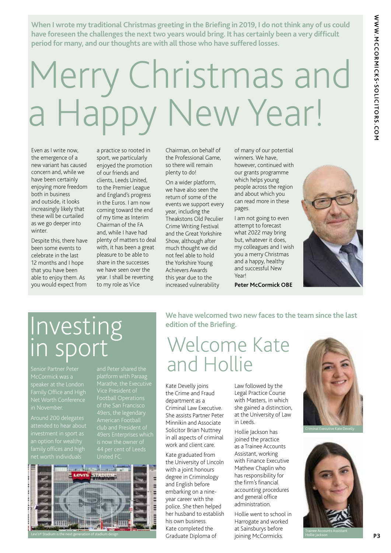**When I wrote my traditional Christmas greeting in the Briefing in 2019, I do not think any of us could have foreseen the challenges the next two years would bring. It has certainly been a very difficult period for many, and our thoughts are with all those who have suffered losses.**

## Merry Christmas and a Dov New Year!

Even as I write now, the emergence of a new variant has caused concern and, while we have been certainly enjoying more freedom both in business and outside, it looks increasingly likely that these will be curtailed as we go deeper into winter.

Despite this, there have been some events to celebrate in the last 12 months and I hope that you have been able to enjoy them. As you would expect from

a practice so rooted in sport, we particularly enjoyed the promotion of our friends and clients, Leeds United, to the Premier League and England's progress in the Euros. I am now coming toward the end of my time as Interim Chairman of the FA and, while I have had plenty of matters to deal with, it has been a great pleasure to be able to share in the successes we have seen over the year. I shall be reverting to my role as Vice

Chairman, on behalf of the Professional Game, so there will remain plenty to do!

On a wider platform, we have also seen the return of some of the events we support every year, including the Theakstons Old Peculier Crime Writing Festival and the Great Yorkshire Show, although after much thought we did not feel able to hold the Yorkshire Young Achievers Awards this year due to the increased vulnerability

**edition of the Briefing.**

of many of our potential winners. We have, however, continued with our grants programme which helps young people across the region and about which you can read more in these pages.

I am not going to even attempt to forecast what 2022 may bring but, whatever it does, my colleagues and I wish you a merry Christmas and a happy, healthy and successful New Voarl

**Peter McCormick OBE**

**We have welcomed two new faces to the team since the last** 



### Investing in sport

Family Office and High Net Worth Conference in November.

attended to hear about

platform with Paraag



Welcome Kate and Hollie

Kate Develly joins the Crime and Fraud department as a Criminal Law Executive. She assists Partner Peter Minnikin and Associate Solicitor Brian Nuttney in all aspects of criminal work and client care.

Kate graduated from the University of Lincoln with a joint honours degree in Criminology and English before embarking on a nineyear career with the police. She then helped her husband to establish his own business. Kate completed the Graduate Diploma of

Law followed by the Legal Practice Course with Masters, in which she gained a distinction, at the University of Law in Leeds.

Hollie Jackson has joined the practice as a Trainee Accounts Assistant, working with Finance Executive Mathew Chaplin who has responsibility for the firm's financial accounting procedures and general office administration.

Hollie went to school in Harrogate and worked at Sainsburys before joining McCormicks.



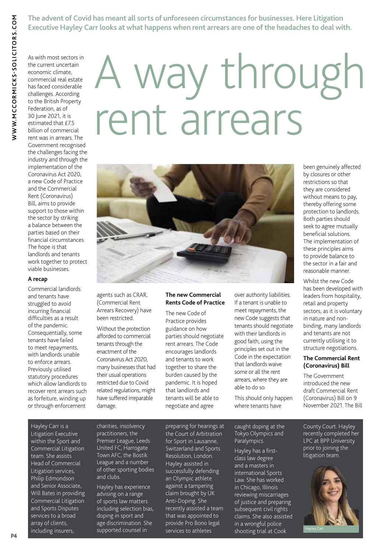**The advent of Covid has meant all sorts of unforeseen circumstances for businesses. Here Litigation Executive Hayley Carr looks at what happens when rent arrears are one of the headaches to deal with.**

As with most sectors in the current uncertain economic climate, commercial real estate has faced considerable challenges. According to the British Property Federation, as of 30 June 2021, it is estimated that £7.5 billion of commercial rent was in arrears. The Government recognised the challenges facing the industry and through the implementation of the Coronavirus Act 2020, a new Code of Practice and the Commercial Rent (Coronavirus) Bill, aims to provide support to those within the sector by striking a balance between the parties based on their financial circumstances. The hope is that landlords and tenants work together to protect

### **A recap**

viable businesses.

Commercial landlords and tenants have struggled to avoid incurring financial difficulties as a result of the pandemic. Consequentially, some tenants have failed to meet repayments, with landlords unable to enforce arrears. Previously utilised statutory procedures which allow landlords to recover rent arrears such as forfeiture, winding up or through enforcement

# A way through rent arrears



agents such as CRAR, (Commercial Rent Arrears Recovery) have been restricted.

Without the protection afforded to commercial tenants through the enactment of the Coronavirus Act 2020, many businesses that had their usual operations restricted due to Covid related regulations, might have suffered irreparable damage.

### **The new Commercial Rents Code of Practice**

The new Code of Practice provides guidance on how parties should negotiate rent arrears. The Code encourages landlords and tenants to work together to share the burden caused by the pandemic. It is hoped that landlords and tenants will be able to negotiate and agree

over authority liabilities. If a tenant is unable to meet repayments, the new Code suggests that tenants should negotiate with their landlords in good faith, using the principles set out in the Code in the expectation that landlords waive some or all the rent arrears, where they are able to do so.

This should only happen where tenants have

been genuinely affected by closures or other restrictions so that they are considered without means to pay, thereby offering some protection to landlords. Both parties should seek to agree mutually beneficial solutions. The implementation of these principles aims to provide balance to the sector in a fair and reasonable manner.

Whilst the new Code has been developed with leaders from hospitality, retail and property sectors, as it is voluntary in nature and nonbinding, many landlords and tenants are not currently utilising it to structure negotiations.

### **The Commercial Rent (Coronavirus) Bill**

The Government introduced the new draft Commercial Rent (Coronavirus) Bill on 9 November 2021. The Bill

### Hayley Carr is a

Litigation Executive within the Sport and Commercial Litigation team. She assists Head of Commercial Litigation services, Philip Edmondson and Senior Associate, Will Bates in providing Commercial Litigation and Sports Disputes services to a broad array of clients, including insurers,

charities, insolvency practitioners, the Premier League, Leeds United FC, Harrogate Town AFC, the Bostik League and a number of other sporting bodies and clubs.

Hayley has experience advising on a range of sports law matters including selection bias, doping in sport and age discrimination. She supported counsel in

preparing for hearings at the Court of Arbitration for Sport in Lausanne, Switzerland and Sports Resolution, London. Hayley assisted in successfully defending an Olympic athlete against a tampering claim brought by UK Anti-Doping. She recently assisted a team that was appointed to provide Pro Bono legal services to athletes

caught doping at the Tokyo Olympics and Paralympics.

Hayley has a firstclass law degree and a masters in international Sports Law. She has worked in Chicago, Illinois reviewing miscarriages of justice and preparing subsequent civil rights claims. She also assisted in a wrongful police shooting trial at Cook

County Court. Hayley recently completed her LPC at BPP University prior to joining the litigation team.

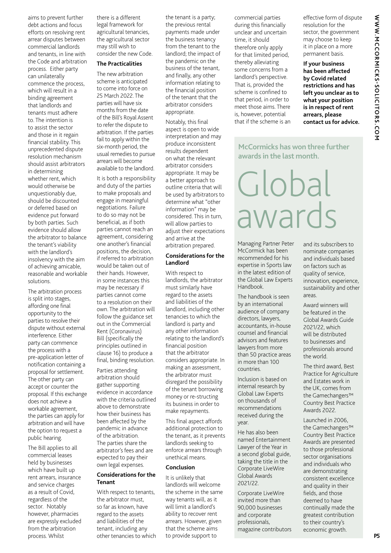aims to prevent further debt actions and focus efforts on resolving rent arrear disputes between commercial landlords and tenants, in line with the Code and arbitration process. Either party can unilaterally commence the process, which will result in a binding agreement that landlords and tenants must adhere to. The intention is to assist the sector and those in it regain financial stability. This unprecedented dispute resolution mechanism should assist arbitrators in determining whether rent, which would otherwise be unquestionably due, should be discounted or deferred based on evidence put forward by both parties. Such evidence should allow the arbitrator to balance the tenant's viability with the landlord's insolvency with the aim of achieving amicable, reasonable and workable solutions.

The arbitration process is split into stages, affording one final opportunity to the parties to resolve their dispute without external interference. Either party can commence the process with a pre-application letter of notification containing a proposal for settlement. The other party can accept or counter the proposal. If this exchange does not achieve a workable agreement, the parties can apply for arbitration and will have the option to request a public hearing.

The Bill applies to all commercial leases held by businesses which have built up rent arrears, insurance and service charges as a result of Covid, regardless of the sector. Notably however, pharmacies are expressly excluded from the arbitration process. Whilst

there is a different legal framework for agricultural tenancies, the agricultural sector may still wish to consider the new Code.

### **The Practicalities**

The new arbitration scheme is anticipated to come into force on 25 March 2022. The parties will have six months from the date of the Bill's Royal Assent to refer the dispute to arbitration. If the parties fail to apply within the six-month period, the usual remedies to pursue arrears will become available to the landlord.

It is both a responsibility and duty of the parties to make proposals and engage in meaningful negotiations. Failure to do so may not be beneficial, as if both parties cannot reach an agreement, considering one another's financial positions, the decision, if referred to arbitration would be taken out of their hands. However, in some instances this may be necessary if parties cannot come to a resolution on their own. The arbitration will follow the guidance set out in the Commercial Rent (Coronavirus) Bill (specifically the principles outlined in clause 16) to produce a final, binding resolution.

Parties attending arbitration should gather supporting evidence in accordance with the criteria outlined above to demonstrate how their business has been affected by the pandemic in advance of the arbitration. The parties share the arbitrator's fees and are expected to pay their own legal expenses.

### **Considerations for the Tenant**

With respect to tenants, the arbitrator must, so far as known, have regard to the assets and liabilities of the tenant, including any other tenancies to which the tenant is a party; the previous rental payments made under the business tenancy from the tenant to the landlord; the impact of the pandemic on the business of the tenant, and finally, any other information relating to the financial position of the tenant that the arbitrator considers appropriate.

Notably, this final aspect is open to wide interpretation and may produce inconsistent results dependent on what the relevant arbitrator considers appropriate. It may be a better approach to outline criteria that will be used by arbitrators to determine what "other information" may be considered. This in turn, will allow parties to adjust their expectations and arrive at the arbitration prepared.

### **Considerations for the Landlord**

With respect to landlords, the arbitrator must similarly have regard to the assets and liabilities of the landlord, including other tenancies to which the landlord is party and any other information relating to the landlord's financial position that the arbitrator considers appropriate. In making an assessment, the arbitrator must disregard the possibility of the tenant borrowing money or re-structing its business in order to make repayments.

This final aspect affords additional protection to the tenant, as it prevents landlords seeking to enforce arrears through unethical means.

### **Conclusion**

It is unlikely that landlords will welcome the scheme in the same way tenants will, as it will limit a landlord's ability to recover rent arrears. However, given that the scheme aims to provide support to

commercial parties during this financially unclear and uncertain time, it should therefore only apply for that limited period, thereby alleviating some concerns from a landlord's perspective. That is, provided the scheme is confined to that period, in order to meet those aims. There is, however, potential that if the scheme is an

effective form of dispute resolution for the sector, the government may choose to keep it in place on a more permanent basis.

**If your business has been affected by Covid related restrictions and has left you unclear as to what your position is in respect of rent arrears, please contact us for advice.** 

**McCormicks has won three further awards in the last month.**

### Global awards

Managing Partner Peter McCormick has been recommended for his expertise in Sports law in the latest edition of the Global Law Experts Handbook.

The handbook is seen by an international audience of company directors, lawyers, accountants, in-house counsel and financial advisors and features lawyers from more than 50 practice areas in more than 100 countries.

Inclusion is based on internal research by Global Law Experts on thousands of recommendations received during the year.

He has also been named Entertainment Lawyer of the Year in a second global guide, taking the title in the Corporate LiveWire Global Awards 2021/22.

Corporate LiveWire invited more than 90,000 businesses and corporate professionals, magazine contributors and its subscribers to nominate companies and individuals based on factors such as quality of service, innovation, experience, sustainability and other areas.

Award winners will be featured in the Global Awards Guide 2021/22, which will be distributed to businesses and professionals around the world.

The third award, Best Practice for Agriculture and Estates work in the UK, comes from the Gamechangers™ Country Best Practice Awards 2022.

Launched in 2006, the Gamechangers™ Country Best Practice Awards are presented to those professional sector organisations and individuals who are demonstrating consistent excellence and quality in their fields, and those deemed to have continually made the greatest contribution to their country's economic growth.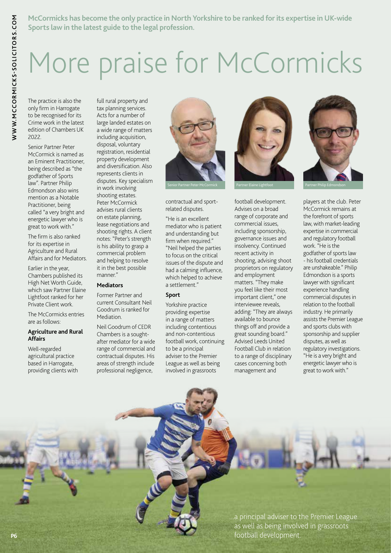**McCormicks has become the only practice in North Yorkshire to be ranked for its expertise in UK-wide Sports law in the latest guide to the legal profession.**

### More praise for McCormicks

The practice is also the only firm in Harrogate to be recognised for its Crime work in the latest edition of Chambers UK 2022.

Senior Partner Peter McCormick is named as an Eminent Practitioner, being described as "the godfather of Sports law". Partner Philip Edmondson also wins mention as a Notable Practitioner, being called "a very bright and energetic lawyer who is great to work with."

The firm is also ranked for its expertise in Agriculture and Rural Affairs and for Mediators.

Earlier in the year, Chambers published its High Net Worth Guide, which saw Partner Elaine Lightfoot ranked for her Private Client work.

The McCormicks entries are as follows:

### **Agriculture and Rural Affairs**

Well-regarded agricultural practice based in Harrogate, providing clients with full rural property and tax planning services. Acts for a number of large landed estates on a wide range of matters including acquisition, disposal, voluntary registration, residential property development and diversification. Also represents clients in disputes. Key specialism in work involving shooting estates. Peter McCormick advises rural clients on estate planning, lease negotiations and shooting rights. A client notes: "Peter's strength is his ability to grasp a commercial problem and helping to resolve it in the best possible manner."

### **Mediators**

Former Partner and current Consultant Neil Goodrum is ranked for Mediation.

Neil Goodrum of CEDR Chambers is a soughtafter mediator for a wide range of commercial and contractual disputes. His areas of strength include professional negligence,



contractual and sportrelated disputes.

"He is an excellent mediator who is patient and understanding but firm when required." "Neil helped the parties to focus on the critical issues of the dispute and had a calming influence, which helped to achieve a settlement."

### **Sport**

Yorkshire practice providing expertise in a range of matters including contentious and non-contentious football work, continuing to be a principal adviser to the Premier League as well as being involved in grassroots



football development. Advises on a broad range of corporate and commercial issues, including sponsorship, governance issues and insolvency. Continued recent activity in shooting, advising shoot proprietors on regulatory and employment matters. "They make you feel like their most important client," one interviewee reveals, adding: "They are always available to bounce things off and provide a great sounding board." Advised Leeds United Football Club in relation to a range of disciplinary cases concerning both management and



players at the club. Peter McCormick remains at the forefront of sports law, with market-leading expertise in commercial and regulatory football work. "He is the godfather of sports law - his football credentials are unshakeable." Philip Edmondson is a sports lawyer with significant experience handling commercial disputes in relation to the football industry. He primarily assists the Premier League and sports clubs with sponsorship and supplier disputes, as well as regulatory investigations. "He is a very bright and energetic lawyer who is great to work with."

...a principal adviser to the Premier League as well as being involved in grassroots **P6** *P6 P6 P6 P6 P6 P6 P6 P6 P6 P6 P6 P6 P6 P6 P6 P6 P6 P6 P6 P6 P6 P6 P6 P6 P6 P6 P6 P6 P6 P6 P6*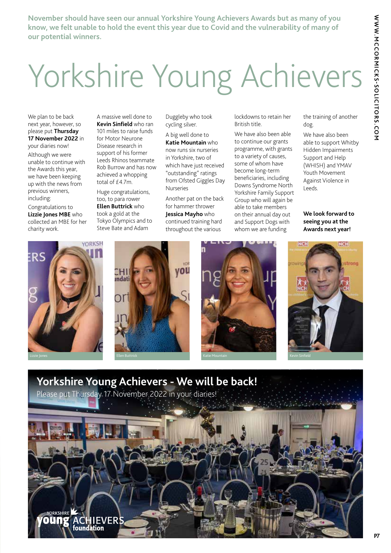**November should have seen our annual Yorkshire Young Achievers Awards but as many of you know, we felt unable to hold the event this year due to Covid and the vulnerability of many of our potential winners.**

### Yorkshire Young Achievers

We plan to be back next year, however, so please put **Thursday 17 November 2022** in your diaries now!

Although we were unable to continue with the Awards this year, we have been keeping up with the news from previous winners, including:

Congratulations to **Lizzie Jones MBE** who collected an MBE for her charity work.

A massive well done to **Kevin Sinfield** who ran 101 miles to raise funds for Motor Neurone Disease research in support of his former Leeds Rhinos teammate Rob Burrow and has now achieved a whopping total of £4.7m.

Huge congratulations, too, to para rower **Ellen Buttrick** who took a gold at the Tokyo Olympics and to Steve Bate and Adam

Duggleby who took cycling silver.

A big well done to **Katie Mountain** who now runs six nurseries in Yorkshire, two of which have just received "outstanding" ratings from Ofsted Giggles Day Nurseries

Another pat on the back for hammer thrower **Jessica Mayho** who continued training hard throughout the various

lockdowns to retain her British title.

We have also been able to continue our grants programme, with grants to a variety of causes, some of whom have become long-term beneficiaries, including Downs Syndrome North Yorkshire Family Support Group who will again be able to take members on their annual day out and Support Dogs with whom we are funding

the training of another dog.

We have also been able to support Whitby Hidden Impairments Support and Help (WHISH) and YMAV Youth Movement Against Violence in Leeds.

**We look forward to seeing you at the Awards next year!**